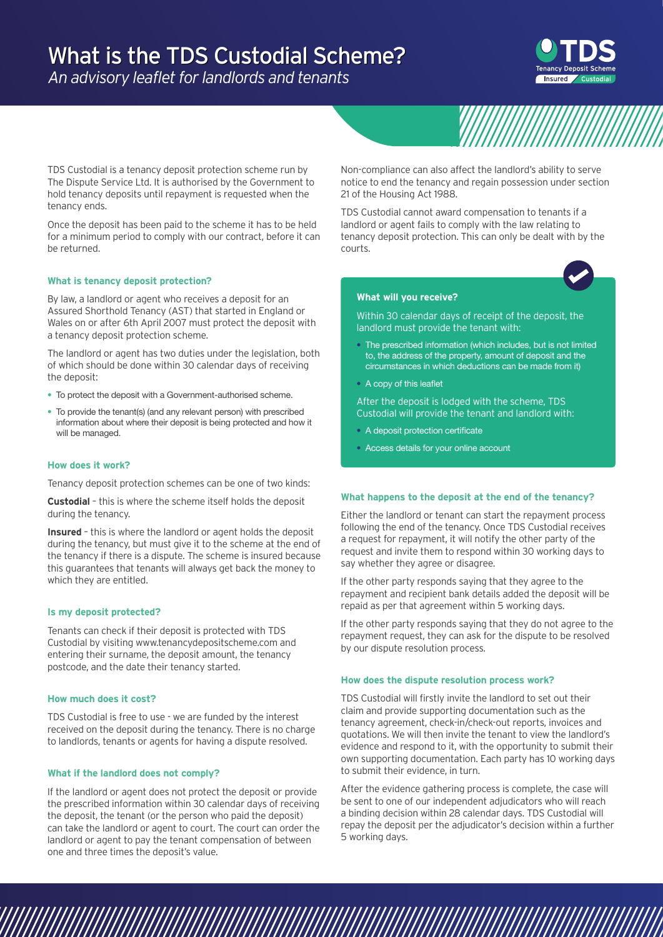# What is the TDS Custodial Scheme?

*An advisory leaflet for landlords and tenants*



TDS Custodial is a tenancy deposit protection scheme run by The Dispute Service Ltd. It is authorised by the Government to hold tenancy deposits until repayment is requested when the tenancy ends.

Once the deposit has been paid to the scheme it has to be held for a minimum period to comply with our contract, before it can be returned.

## **What is tenancy deposit protection?**

By law, a landlord or agent who receives a deposit for an Assured Shorthold Tenancy (AST) that started in England or Wales on or after 6th April 2007 must protect the deposit with a tenancy deposit protection scheme.

The landlord or agent has two duties under the legislation, both of which should be done within 30 calendar days of receiving the deposit:

- To protect the deposit with a Government-authorised scheme.
- To provide the tenant(s) (and any relevant person) with prescribed information about where their deposit is being protected and how it will be managed.

## **How does it work?**

Tenancy deposit protection schemes can be one of two kinds:

**Custodial** – this is where the scheme itself holds the deposit during the tenancy.

**Insured** – this is where the landlord or agent holds the deposit during the tenancy, but must give it to the scheme at the end of the tenancy if there is a dispute. The scheme is insured because this guarantees that tenants will always get back the money to which they are entitled.

## **Is my deposit protected?**

Tenants can check if their deposit is protected with TDS Custodial by visiting www.tenancydepositscheme.com and entering their surname, the deposit amount, the tenancy postcode, and the date their tenancy started.

#### **How much does it cost?**

TDS Custodial is free to use - we are funded by the interest received on the deposit during the tenancy. There is no charge to landlords, tenants or agents for having a dispute resolved.

## **What if the landlord does not comply?**

If the landlord or agent does not protect the deposit or provide the prescribed information within 30 calendar days of receiving the deposit, the tenant (or the person who paid the deposit) can take the landlord or agent to court. The court can order the landlord or agent to pay the tenant compensation of between one and three times the deposit's value.

Non-compliance can also affect the landlord's ability to serve notice to end the tenancy and regain possession under section 21 of the Housing Act 1988.

TDS Custodial cannot award compensation to tenants if a landlord or agent fails to comply with the law relating to tenancy deposit protection. This can only be dealt with by the courts.



#### **What will you receive?**

Within 30 calendar days of receipt of the deposit, the landlord must provide the tenant with:

- The prescribed information (which includes, but is not limited to, the address of the property, amount of deposit and the circumstances in which deductions can be made from it)
- A copy of this leaflet

After the deposit is lodged with the scheme, TDS Custodial will provide the tenant and landlord with:

- A deposit protection certificate
- Access details for your online account

## **What happens to the deposit at the end of the tenancy?**

Either the landlord or tenant can start the repayment process following the end of the tenancy. Once TDS Custodial receives a request for repayment, it will notify the other party of the request and invite them to respond within 30 working days to say whether they agree or disagree.

If the other party responds saying that they agree to the repayment and recipient bank details added the deposit will be repaid as per that agreement within 5 working days.

If the other party responds saying that they do not agree to the repayment request, they can ask for the dispute to be resolved by our dispute resolution process.

#### **How does the dispute resolution process work?**

TDS Custodial will firstly invite the landlord to set out their claim and provide supporting documentation such as the tenancy agreement, check-in/check-out reports, invoices and quotations. We will then invite the tenant to view the landlord's evidence and respond to it, with the opportunity to submit their own supporting documentation. Each party has 10 working days to submit their evidence, in turn.

After the evidence gathering process is complete, the case will be sent to one of our independent adjudicators who will reach a binding decision within 28 calendar days. TDS Custodial will repay the deposit per the adjudicator's decision within a further 5 working days.